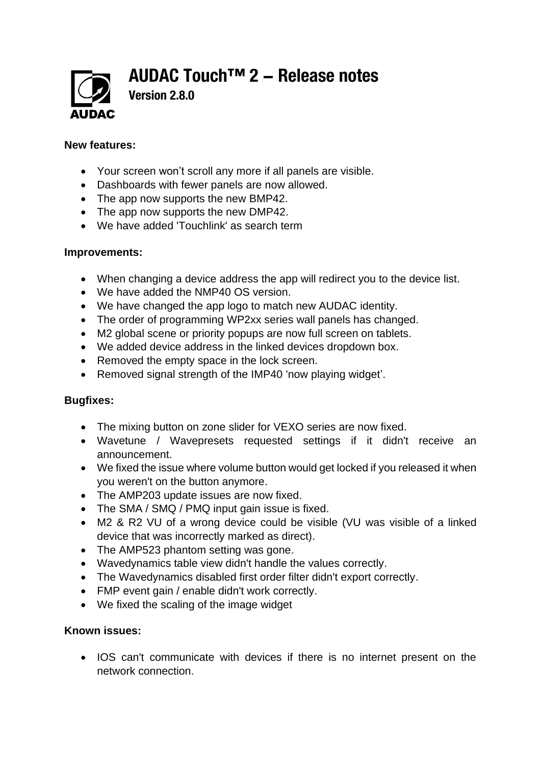**AUDAC Touch™ 2 - Release notes**



**Version 2.8.0**

## **New features:**

- Your screen won't scroll any more if all panels are visible.
- Dashboards with fewer panels are now allowed.
- The app now supports the new BMP42.
- The app now supports the new DMP42.
- We have added 'Touchlink' as search term

## **Improvements:**

- When changing a device address the app will redirect you to the device list.
- We have added the NMP40 OS version.
- We have changed the app logo to match new AUDAC identity.
- The order of programming WP2xx series wall panels has changed.
- M2 global scene or priority popups are now full screen on tablets.
- We added device address in the linked devices dropdown box.
- Removed the empty space in the lock screen.
- Removed signal strength of the IMP40 'now playing widget'.

## **Bugfixes:**

- The mixing button on zone slider for VEXO series are now fixed.
- Wavetune / Wavepresets requested settings if it didn't receive an announcement.
- We fixed the issue where volume button would get locked if you released it when you weren't on the button anymore.
- The AMP203 update issues are now fixed.
- The SMA / SMQ / PMQ input gain issue is fixed.
- M2 & R2 VU of a wrong device could be visible (VU was visible of a linked device that was incorrectly marked as direct).
- The AMP523 phantom setting was gone.
- Wavedynamics table view didn't handle the values correctly.
- The Wavedynamics disabled first order filter didn't export correctly.
- FMP event gain / enable didn't work correctly.
- We fixed the scaling of the image widget

## **Known issues:**

• IOS can't communicate with devices if there is no internet present on the network connection.